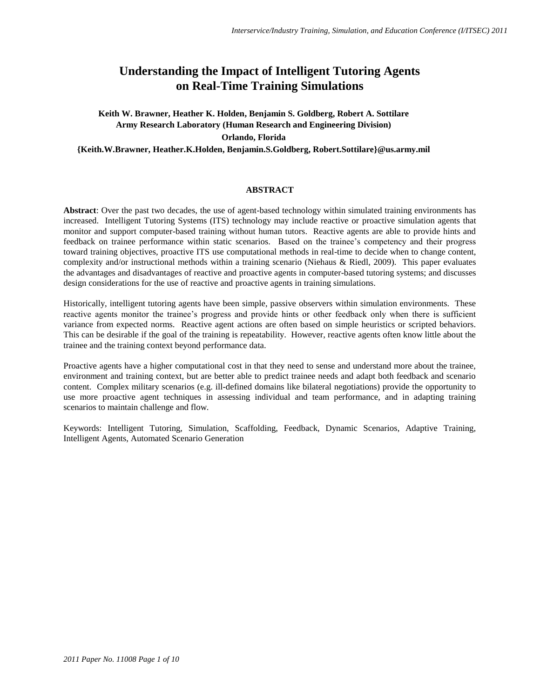# **Understanding the Impact of Intelligent Tutoring Agents on Real-Time Training Simulations**

**Keith W. Brawner, Heather K. Holden, Benjamin S. Goldberg, Robert A. Sottilare Army Research Laboratory (Human Research and Engineering Division) Orlando, Florida** 

**{Keith.W.Brawner, Heather.K.Holden, Benjamin.S.Goldberg, Robert.Sottilare}@us.army.mil**

# **ABSTRACT**

**Abstract**: Over the past two decades, the use of agent-based technology within simulated training environments has increased. Intelligent Tutoring Systems (ITS) technology may include reactive or proactive simulation agents that monitor and support computer-based training without human tutors. Reactive agents are able to provide hints and feedback on trainee performance within static scenarios. Based on the trainee's competency and their progress toward training objectives, proactive ITS use computational methods in real-time to decide when to change content, complexity and/or instructional methods within a training scenario (Niehaus & Riedl, 2009). This paper evaluates the advantages and disadvantages of reactive and proactive agents in computer-based tutoring systems; and discusses design considerations for the use of reactive and proactive agents in training simulations.

Historically, intelligent tutoring agents have been simple, passive observers within simulation environments. These reactive agents monitor the trainee's progress and provide hints or other feedback only when there is sufficient variance from expected norms. Reactive agent actions are often based on simple heuristics or scripted behaviors. This can be desirable if the goal of the training is repeatability. However, reactive agents often know little about the trainee and the training context beyond performance data.

Proactive agents have a higher computational cost in that they need to sense and understand more about the trainee, environment and training context, but are better able to predict trainee needs and adapt both feedback and scenario content. Complex military scenarios (e.g. ill-defined domains like bilateral negotiations) provide the opportunity to use more proactive agent techniques in assessing individual and team performance, and in adapting training scenarios to maintain challenge and flow.

Keywords: Intelligent Tutoring, Simulation, Scaffolding, Feedback, Dynamic Scenarios, Adaptive Training, Intelligent Agents, Automated Scenario Generation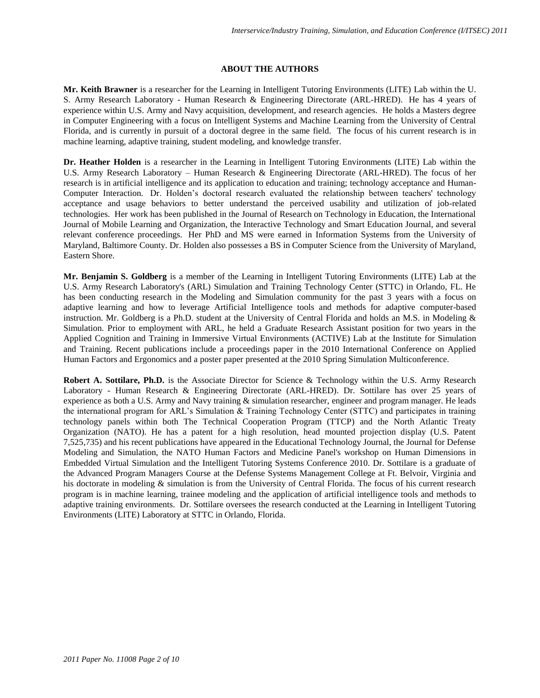## **ABOUT THE AUTHORS**

**Mr. Keith Brawner** is a researcher for the Learning in Intelligent Tutoring Environments (LITE) Lab within the U. S. Army Research Laboratory - Human Research & Engineering Directorate (ARL-HRED). He has 4 years of experience within U.S. Army and Navy acquisition, development, and research agencies. He holds a Masters degree in Computer Engineering with a focus on Intelligent Systems and Machine Learning from the University of Central Florida, and is currently in pursuit of a doctoral degree in the same field. The focus of his current research is in machine learning, adaptive training, student modeling, and knowledge transfer.

**Dr. Heather Holden** is a researcher in the Learning in Intelligent Tutoring Environments (LITE) Lab within the U.S. Army Research Laboratory – Human Research & Engineering Directorate (ARL-HRED). The focus of her research is in artificial intelligence and its application to education and training; technology acceptance and Human-Computer Interaction. Dr. Holden's doctoral research evaluated the relationship between teachers' technology acceptance and usage behaviors to better understand the perceived usability and utilization of job-related technologies. Her work has been published in the Journal of Research on Technology in Education, the International Journal of Mobile Learning and Organization, the Interactive Technology and Smart Education Journal, and several relevant conference proceedings. Her PhD and MS were earned in Information Systems from the University of Maryland, Baltimore County. Dr. Holden also possesses a BS in Computer Science from the University of Maryland, Eastern Shore.

**Mr. Benjamin S. Goldberg** is a member of the Learning in Intelligent Tutoring Environments (LITE) Lab at the U.S. Army Research Laboratory's (ARL) Simulation and Training Technology Center (STTC) in Orlando, FL. He has been conducting research in the Modeling and Simulation community for the past 3 years with a focus on adaptive learning and how to leverage Artificial Intelligence tools and methods for adaptive computer-based instruction. Mr. Goldberg is a Ph.D. student at the University of Central Florida and holds an M.S. in Modeling & Simulation. Prior to employment with ARL, he held a Graduate Research Assistant position for two years in the Applied Cognition and Training in Immersive Virtual Environments (ACTIVE) Lab at the Institute for Simulation and Training. Recent publications include a proceedings paper in the 2010 International Conference on Applied Human Factors and Ergonomics and a poster paper presented at the 2010 Spring Simulation Multiconference.

**Robert A. Sottilare, Ph.D.** is the Associate Director for Science & Technology within the U.S. Army Research Laboratory - Human Research & Engineering Directorate (ARL-HRED). Dr. Sottilare has over 25 years of experience as both a U.S. Army and Navy training & simulation researcher, engineer and program manager. He leads the international program for ARL's Simulation & Training Technology Center (STTC) and participates in training technology panels within both The Technical Cooperation Program (TTCP) and the North Atlantic Treaty Organization (NATO). He has a patent for a high resolution, head mounted projection display (U.S. Patent 7,525,735) and his recent publications have appeared in the Educational Technology Journal, the Journal for Defense Modeling and Simulation, the NATO Human Factors and Medicine Panel's workshop on Human Dimensions in Embedded Virtual Simulation and the Intelligent Tutoring Systems Conference 2010. Dr. Sottilare is a graduate of the Advanced Program Managers Course at the Defense Systems Management College at Ft. Belvoir, Virginia and his doctorate in modeling & simulation is from the University of Central Florida. The focus of his current research program is in machine learning, trainee modeling and the application of artificial intelligence tools and methods to adaptive training environments. Dr. Sottilare oversees the research conducted at the Learning in Intelligent Tutoring Environments (LITE) Laboratory at STTC in Orlando, Florida.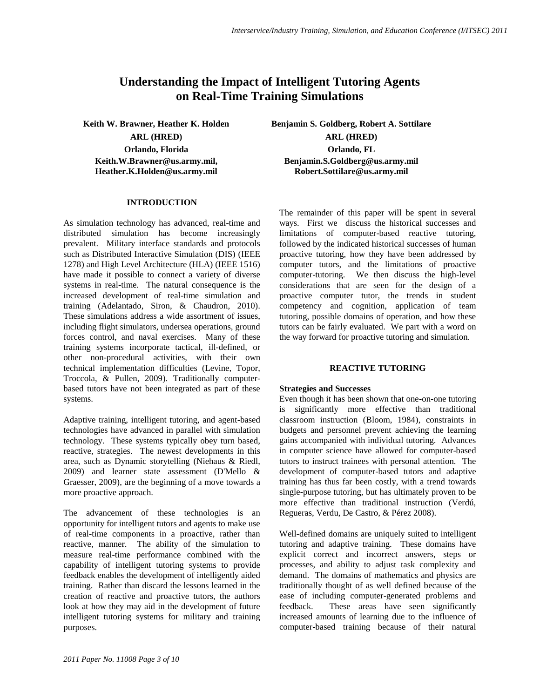# **Understanding the Impact of Intelligent Tutoring Agents on Real-Time Training Simulations**

**Orlando, Florida Orlando, FL Keith.W.Brawner@us.army.mil, Heather.K.Holden@us.army.mil**

## **INTRODUCTION**

As simulation technology has advanced, real-time and distributed simulation has become increasingly prevalent. Military interface standards and protocols such as Distributed Interactive Simulation (DIS) (IEEE 1278) and High Level Architecture (HLA) (IEEE 1516) have made it possible to connect a variety of diverse systems in real-time. The natural consequence is the increased development of real-time simulation and training (Adelantado, Siron, & Chaudron, 2010). These simulations address a wide assortment of issues, including flight simulators, undersea operations, ground forces control, and naval exercises. Many of these training systems incorporate tactical, ill-defined, or other non-procedural activities, with their own technical implementation difficulties (Levine, Topor, Troccola, & Pullen, 2009). Traditionally computerbased tutors have not been integrated as part of these systems.

Adaptive training, intelligent tutoring, and agent-based technologies have advanced in parallel with simulation technology. These systems typically obey turn based, reactive, strategies. The newest developments in this area, such as Dynamic storytelling (Niehaus & Riedl, 2009) and learner state assessment (D'Mello & Graesser, 2009), are the beginning of a move towards a more proactive approach.

The advancement of these technologies is an opportunity for intelligent tutors and agents to make use of real-time components in a proactive, rather than reactive, manner. The ability of the simulation to measure real-time performance combined with the capability of intelligent tutoring systems to provide feedback enables the development of intelligently aided training. Rather than discard the lessons learned in the creation of reactive and proactive tutors, the authors look at how they may aid in the development of future intelligent tutoring systems for military and training purposes.

**Keith W. Brawner, Heather K. Holden Benjamin S. Goldberg, Robert A. Sottilare ARL (HRED) ARL (HRED) Benjamin.S.Goldberg@us.army.mil Robert.Sottilare@us.army.mil**

> The remainder of this paper will be spent in several ways. First we discuss the historical successes and limitations of computer-based reactive tutoring, followed by the indicated historical successes of human proactive tutoring, how they have been addressed by computer tutors, and the limitations of proactive computer-tutoring. We then discuss the high-level considerations that are seen for the design of a proactive computer tutor, the trends in student competency and cognition, application of team tutoring, possible domains of operation, and how these tutors can be fairly evaluated. We part with a word on the way forward for proactive tutoring and simulation.

# **REACTIVE TUTORING**

## **Strategies and Successes**

Even though it has been shown that one-on-one tutoring is significantly more effective than traditional classroom instruction (Bloom, 1984), constraints in budgets and personnel prevent achieving the learning gains accompanied with individual tutoring. Advances in computer science have allowed for computer-based tutors to instruct trainees with personal attention. The development of computer-based tutors and adaptive training has thus far been costly, with a trend towards single-purpose tutoring, but has ultimately proven to be more effective than traditional instruction (Verdú, Regueras, Verdu, De Castro, & Pérez 2008).

Well-defined domains are uniquely suited to intelligent tutoring and adaptive training. These domains have explicit correct and incorrect answers, steps or processes, and ability to adjust task complexity and demand. The domains of mathematics and physics are traditionally thought of as well defined because of the ease of including computer-generated problems and feedback. These areas have seen significantly increased amounts of learning due to the influence of computer-based training because of their natural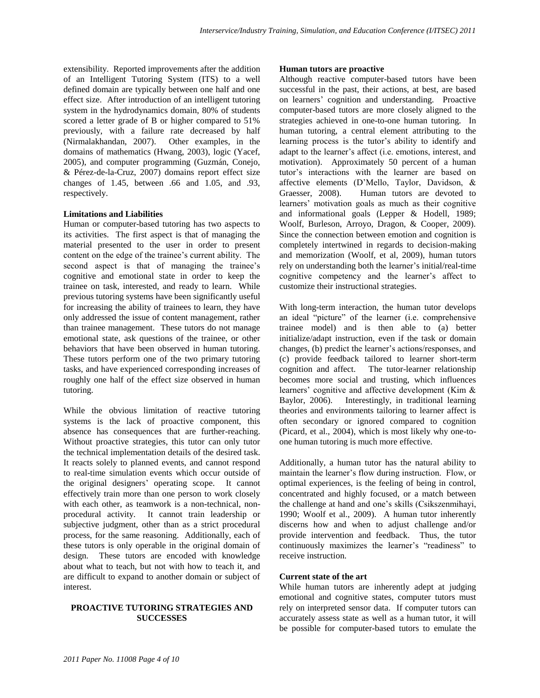extensibility. Reported improvements after the addition of an Intelligent Tutoring System (ITS) to a well defined domain are typically between one half and one effect size. After introduction of an intelligent tutoring system in the hydrodynamics domain, 80% of students scored a letter grade of B or higher compared to 51% previously, with a failure rate decreased by half (Nirmalakhandan, 2007). Other examples, in the domains of mathematics (Hwang, 2003), logic (Yacef, 2005), and computer programming (Guzmán, Conejo, & Pérez-de-la-Cruz, 2007) domains report effect size changes of 1.45, between .66 and 1.05, and .93, respectively.

## **Limitations and Liabilities**

Human or computer-based tutoring has two aspects to its activities. The first aspect is that of managing the material presented to the user in order to present content on the edge of the trainee's current ability. The second aspect is that of managing the trainee's cognitive and emotional state in order to keep the trainee on task, interested, and ready to learn. While previous tutoring systems have been significantly useful for increasing the ability of trainees to learn, they have only addressed the issue of content management, rather than trainee management. These tutors do not manage emotional state, ask questions of the trainee, or other behaviors that have been observed in human tutoring. These tutors perform one of the two primary tutoring tasks, and have experienced corresponding increases of roughly one half of the effect size observed in human tutoring.

While the obvious limitation of reactive tutoring systems is the lack of proactive component, this absence has consequences that are further-reaching. Without proactive strategies, this tutor can only tutor the technical implementation details of the desired task. It reacts solely to planned events, and cannot respond to real-time simulation events which occur outside of the original designers' operating scope. It cannot effectively train more than one person to work closely with each other, as teamwork is a non-technical, nonprocedural activity. It cannot train leadership or subjective judgment, other than as a strict procedural process, for the same reasoning. Additionally, each of these tutors is only operable in the original domain of design. These tutors are encoded with knowledge about what to teach, but not with how to teach it, and are difficult to expand to another domain or subject of interest.

### **PROACTIVE TUTORING STRATEGIES AND SUCCESSES**

#### **Human tutors are proactive**

Although reactive computer-based tutors have been successful in the past, their actions, at best, are based on learners' cognition and understanding. Proactive computer-based tutors are more closely aligned to the strategies achieved in one-to-one human tutoring. In human tutoring, a central element attributing to the learning process is the tutor's ability to identify and adapt to the learner's affect (i.e. emotions, interest, and motivation). Approximately 50 percent of a human tutor's interactions with the learner are based on affective elements (D'Mello, Taylor, Davidson, & Graesser, 2008). Human tutors are devoted to learners' motivation goals as much as their cognitive and informational goals (Lepper & Hodell, 1989; Woolf, Burleson, Arroyo, Dragon, & Cooper, 2009). Since the connection between emotion and cognition is completely intertwined in regards to decision-making and memorization (Woolf, et al, 2009), human tutors rely on understanding both the learner's initial/real-time cognitive competency and the learner's affect to customize their instructional strategies.

With long-term interaction, the human tutor develops an ideal "picture" of the learner (i.e. comprehensive trainee model) and is then able to (a) better initialize/adapt instruction, even if the task or domain changes, (b) predict the learner's actions/responses, and (c) provide feedback tailored to learner short-term cognition and affect. The tutor-learner relationship becomes more social and trusting, which influences learners' cognitive and affective development (Kim & Baylor, 2006). Interestingly, in traditional learning theories and environments tailoring to learner affect is often secondary or ignored compared to cognition (Picard, et al., 2004), which is most likely why one-toone human tutoring is much more effective.

Additionally, a human tutor has the natural ability to maintain the learner's flow during instruction. Flow, or optimal experiences, is the feeling of being in control, concentrated and highly focused, or a match between the challenge at hand and one's skills (Csikszenmihayi, 1990; Woolf et al., 2009). A human tutor inherently discerns how and when to adjust challenge and/or provide intervention and feedback. Thus, the tutor continuously maximizes the learner's "readiness" to receive instruction.

#### **Current state of the art**

While human tutors are inherently adept at judging emotional and cognitive states, computer tutors must rely on interpreted sensor data. If computer tutors can accurately assess state as well as a human tutor, it will be possible for computer-based tutors to emulate the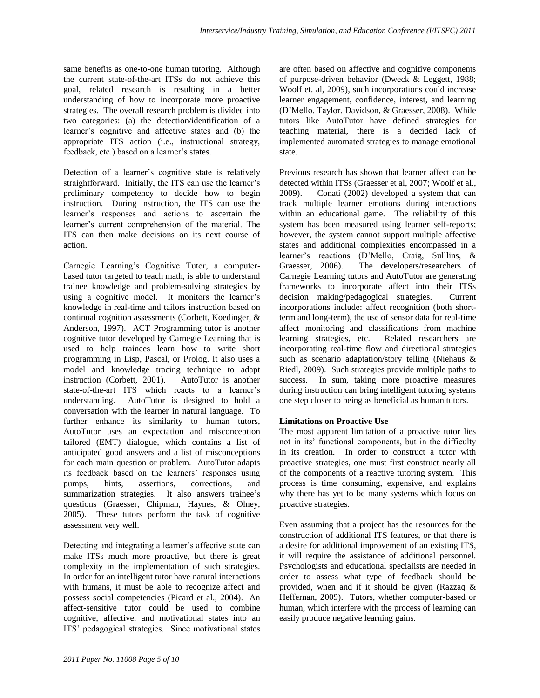same benefits as one-to-one human tutoring. Although the current state-of-the-art ITSs do not achieve this goal, related research is resulting in a better understanding of how to incorporate more proactive strategies. The overall research problem is divided into two categories: (a) the detection/identification of a learner's cognitive and affective states and (b) the appropriate ITS action (i.e., instructional strategy, feedback, etc.) based on a learner's states.

Detection of a learner's cognitive state is relatively straightforward. Initially, the ITS can use the learner's preliminary competency to decide how to begin instruction. During instruction, the ITS can use the learner's responses and actions to ascertain the learner's current comprehension of the material. The ITS can then make decisions on its next course of action.

Carnegie Learning's Cognitive Tutor, a computerbased tutor targeted to teach math, is able to understand trainee knowledge and problem-solving strategies by using a cognitive model. It monitors the learner's knowledge in real-time and tailors instruction based on continual cognition assessments (Corbett, Koedinger, & Anderson, 1997). ACT Programming tutor is another cognitive tutor developed by Carnegie Learning that is used to help trainees learn how to write short programming in Lisp, Pascal, or Prolog. It also uses a model and knowledge tracing technique to adapt instruction (Corbett, 2001). AutoTutor is another state-of-the-art ITS which reacts to a learner's understanding. AutoTutor is designed to hold a conversation with the learner in natural language. To further enhance its similarity to human tutors, AutoTutor uses an expectation and misconception tailored (EMT) dialogue, which contains a list of anticipated good answers and a list of misconceptions for each main question or problem. AutoTutor adapts its feedback based on the learners' responses using pumps, hints, assertions, corrections, and summarization strategies. It also answers trainee's questions (Graesser, Chipman, Haynes, & Olney, 2005). These tutors perform the task of cognitive assessment very well.

Detecting and integrating a learner's affective state can make ITSs much more proactive, but there is great complexity in the implementation of such strategies. In order for an intelligent tutor have natural interactions with humans, it must be able to recognize affect and possess social competencies (Picard et al., 2004). An affect-sensitive tutor could be used to combine cognitive, affective, and motivational states into an ITS' pedagogical strategies. Since motivational states

are often based on affective and cognitive components of purpose-driven behavior (Dweck & Leggett, 1988; Woolf et. al, 2009), such incorporations could increase learner engagement, confidence, interest, and learning (D'Mello, Taylor, Davidson, & Graesser, 2008). While tutors like AutoTutor have defined strategies for teaching material, there is a decided lack of implemented automated strategies to manage emotional state.

Previous research has shown that learner affect can be detected within ITSs (Graesser et al, 2007; Woolf et al., 2009). Conati (2002) developed a system that can track multiple learner emotions during interactions within an educational game. The reliability of this system has been measured using learner self-reports; however, the system cannot support multiple affective states and additional complexities encompassed in a learner's reactions (D'Mello, Craig, Sulllins, & Graesser, 2006). The developers/researchers of Carnegie Learning tutors and AutoTutor are generating frameworks to incorporate affect into their ITSs decision making/pedagogical strategies. Current incorporations include: affect recognition (both shortterm and long-term), the use of sensor data for real-time affect monitoring and classifications from machine learning strategies, etc. Related researchers are incorporating real-time flow and directional strategies such as scenario adaptation/story telling (Niehaus & Riedl, 2009). Such strategies provide multiple paths to success. In sum, taking more proactive measures during instruction can bring intelligent tutoring systems one step closer to being as beneficial as human tutors.

# **Limitations on Proactive Use**

The most apparent limitation of a proactive tutor lies not in its' functional components, but in the difficulty in its creation. In order to construct a tutor with proactive strategies, one must first construct nearly all of the components of a reactive tutoring system. This process is time consuming, expensive, and explains why there has yet to be many systems which focus on proactive strategies.

Even assuming that a project has the resources for the construction of additional ITS features, or that there is a desire for additional improvement of an existing ITS, it will require the assistance of additional personnel. Psychologists and educational specialists are needed in order to assess what type of feedback should be provided, when and if it should be given (Razzaq & Heffernan, 2009). Tutors, whether computer-based or human, which interfere with the process of learning can easily produce negative learning gains.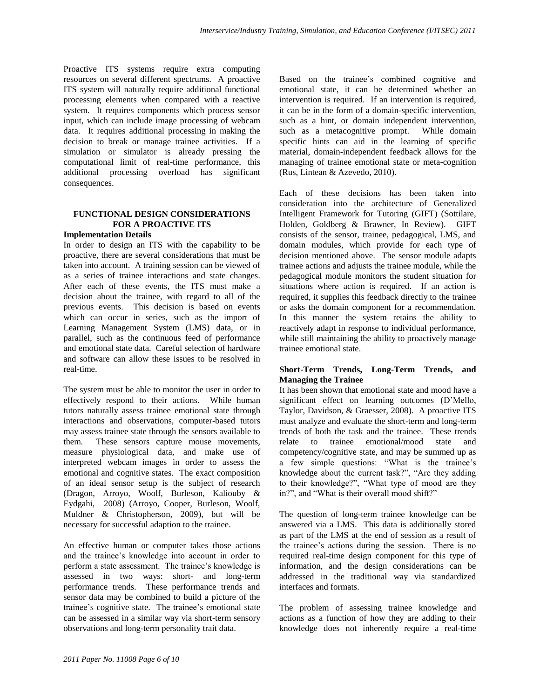Proactive ITS systems require extra computing resources on several different spectrums. A proactive ITS system will naturally require additional functional processing elements when compared with a reactive system. It requires components which process sensor input, which can include image processing of webcam data. It requires additional processing in making the decision to break or manage trainee activities. If a simulation or simulator is already pressing the computational limit of real-time performance, this additional processing overload has significant consequences.

# **FUNCTIONAL DESIGN CONSIDERATIONS FOR A PROACTIVE ITS**

#### **Implementation Details**

In order to design an ITS with the capability to be proactive, there are several considerations that must be taken into account. A training session can be viewed of as a series of trainee interactions and state changes. After each of these events, the ITS must make a decision about the trainee, with regard to all of the previous events. This decision is based on events which can occur in series, such as the import of Learning Management System (LMS) data, or in parallel, such as the continuous feed of performance and emotional state data. Careful selection of hardware and software can allow these issues to be resolved in real-time.

The system must be able to monitor the user in order to effectively respond to their actions. While human tutors naturally assess trainee emotional state through interactions and observations, computer-based tutors may assess trainee state through the sensors available to them. These sensors capture mouse movements, measure physiological data, and make use of interpreted webcam images in order to assess the emotional and cognitive states. The exact composition of an ideal sensor setup is the subject of research (Dragon, Arroyo, Woolf, Burleson, Kaliouby & Eydgahi, 2008) (Arroyo, Cooper, Burleson, Woolf, Muldner & Christopherson, 2009), but will be necessary for successful adaption to the trainee.

An effective human or computer takes those actions and the trainee's knowledge into account in order to perform a state assessment. The trainee's knowledge is assessed in two ways: short- and long-term performance trends. These performance trends and sensor data may be combined to build a picture of the trainee's cognitive state. The trainee's emotional state can be assessed in a similar way via short-term sensory observations and long-term personality trait data.

Based on the trainee's combined cognitive and emotional state, it can be determined whether an intervention is required. If an intervention is required, it can be in the form of a domain-specific intervention, such as a hint, or domain independent intervention, such as a metacognitive prompt. While domain specific hints can aid in the learning of specific material, domain-independent feedback allows for the managing of trainee emotional state or meta-cognition (Rus, Lintean & Azevedo, 2010).

Each of these decisions has been taken into consideration into the architecture of Generalized Intelligent Framework for Tutoring (GIFT) (Sottilare, Holden, Goldberg & Brawner, In Review). GIFT consists of the sensor, trainee, pedagogical, LMS, and domain modules, which provide for each type of decision mentioned above. The sensor module adapts trainee actions and adjusts the trainee module, while the pedagogical module monitors the student situation for situations where action is required. If an action is required, it supplies this feedback directly to the trainee or asks the domain component for a recommendation. In this manner the system retains the ability to reactively adapt in response to individual performance, while still maintaining the ability to proactively manage trainee emotional state.

# **Short-Term Trends, Long-Term Trends, and Managing the Trainee**

It has been shown that emotional state and mood have a significant effect on learning outcomes (D'Mello, Taylor, Davidson, & Graesser, 2008). A proactive ITS must analyze and evaluate the short-term and long-term trends of both the task and the trainee. These trends relate to trainee emotional/mood state and competency/cognitive state, and may be summed up as a few simple questions: "What is the trainee's knowledge about the current task?", "Are they adding to their knowledge?", "What type of mood are they in?", and "What is their overall mood shift?"

The question of long-term trainee knowledge can be answered via a LMS. This data is additionally stored as part of the LMS at the end of session as a result of the trainee's actions during the session. There is no required real-time design component for this type of information, and the design considerations can be addressed in the traditional way via standardized interfaces and formats.

The problem of assessing trainee knowledge and actions as a function of how they are adding to their knowledge does not inherently require a real-time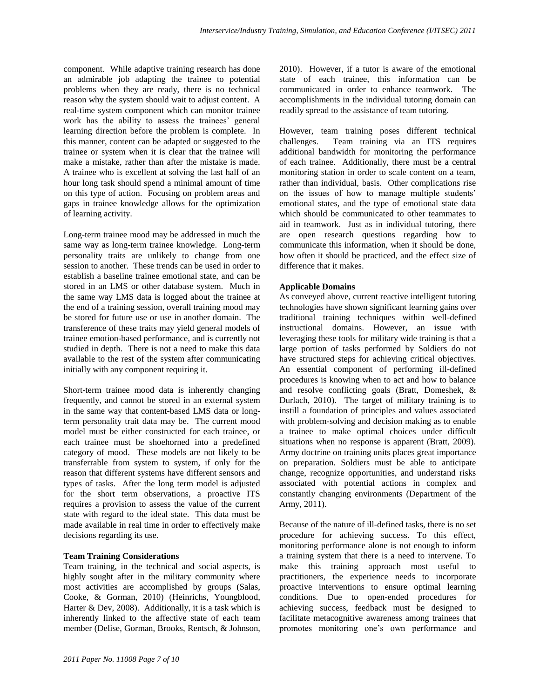component. While adaptive training research has done an admirable job adapting the trainee to potential problems when they are ready, there is no technical reason why the system should wait to adjust content. A real-time system component which can monitor trainee work has the ability to assess the trainees' general learning direction before the problem is complete. In this manner, content can be adapted or suggested to the trainee or system when it is clear that the trainee will make a mistake, rather than after the mistake is made. A trainee who is excellent at solving the last half of an hour long task should spend a minimal amount of time on this type of action. Focusing on problem areas and gaps in trainee knowledge allows for the optimization of learning activity.

Long-term trainee mood may be addressed in much the same way as long-term trainee knowledge. Long-term personality traits are unlikely to change from one session to another. These trends can be used in order to establish a baseline trainee emotional state, and can be stored in an LMS or other database system. Much in the same way LMS data is logged about the trainee at the end of a training session, overall training mood may be stored for future use or use in another domain. The transference of these traits may yield general models of trainee emotion-based performance, and is currently not studied in depth. There is not a need to make this data available to the rest of the system after communicating initially with any component requiring it.

Short-term trainee mood data is inherently changing frequently, and cannot be stored in an external system in the same way that content-based LMS data or longterm personality trait data may be. The current mood model must be either constructed for each trainee, or each trainee must be shoehorned into a predefined category of mood. These models are not likely to be transferrable from system to system, if only for the reason that different systems have different sensors and types of tasks. After the long term model is adjusted for the short term observations, a proactive ITS requires a provision to assess the value of the current state with regard to the ideal state. This data must be made available in real time in order to effectively make decisions regarding its use.

## **Team Training Considerations**

Team training, in the technical and social aspects, is highly sought after in the military community where most activities are accomplished by groups (Salas, Cooke, & Gorman, 2010) (Heinrichs, Youngblood, Harter & Dev, 2008). Additionally, it is a task which is inherently linked to the affective state of each team member (Delise, Gorman, Brooks, Rentsch, & Johnson, 2010). However, if a tutor is aware of the emotional state of each trainee, this information can be communicated in order to enhance teamwork. The accomplishments in the individual tutoring domain can readily spread to the assistance of team tutoring.

However, team training poses different technical challenges. Team training via an ITS requires additional bandwidth for monitoring the performance of each trainee. Additionally, there must be a central monitoring station in order to scale content on a team, rather than individual, basis. Other complications rise on the issues of how to manage multiple students' emotional states, and the type of emotional state data which should be communicated to other teammates to aid in teamwork. Just as in individual tutoring, there are open research questions regarding how to communicate this information, when it should be done, how often it should be practiced, and the effect size of difference that it makes.

#### **Applicable Domains**

As conveyed above, current reactive intelligent tutoring technologies have shown significant learning gains over traditional training techniques within well-defined instructional domains. However, an issue with leveraging these tools for military wide training is that a large portion of tasks performed by Soldiers do not have structured steps for achieving critical objectives. An essential component of performing ill-defined procedures is knowing when to act and how to balance and resolve conflicting goals (Bratt, Domeshek, & Durlach, 2010). The target of military training is to instill a foundation of principles and values associated with problem-solving and decision making as to enable a trainee to make optimal choices under difficult situations when no response is apparent (Bratt, 2009). Army doctrine on training units places great importance on preparation. Soldiers must be able to anticipate change, recognize opportunities, and understand risks associated with potential actions in complex and constantly changing environments (Department of the Army, 2011).

Because of the nature of ill-defined tasks, there is no set procedure for achieving success. To this effect, monitoring performance alone is not enough to inform a training system that there is a need to intervene. To make this training approach most useful to practitioners, the experience needs to incorporate proactive interventions to ensure optimal learning conditions. Due to open-ended procedures for achieving success, feedback must be designed to facilitate metacognitive awareness among trainees that promotes monitoring one's own performance and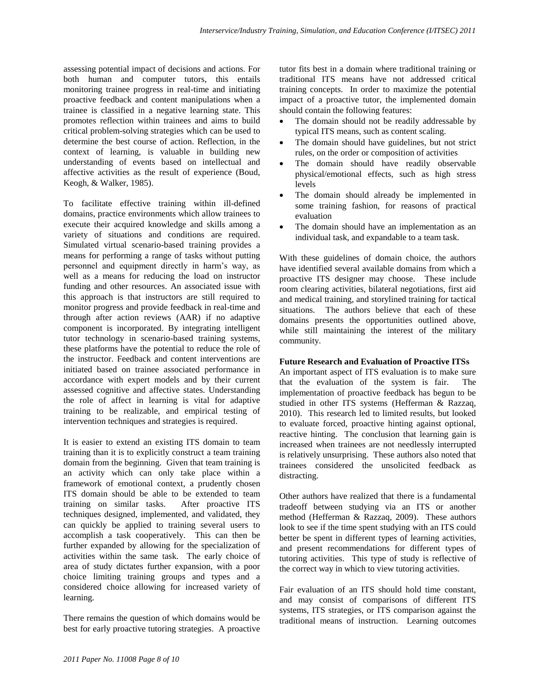assessing potential impact of decisions and actions. For both human and computer tutors, this entails monitoring trainee progress in real-time and initiating proactive feedback and content manipulations when a trainee is classified in a negative learning state. This promotes reflection within trainees and aims to build critical problem-solving strategies which can be used to determine the best course of action. Reflection, in the context of learning, is valuable in building new understanding of events based on intellectual and affective activities as the result of experience (Boud, Keogh, & Walker, 1985).

To facilitate effective training within ill-defined domains, practice environments which allow trainees to execute their acquired knowledge and skills among a variety of situations and conditions are required. Simulated virtual scenario-based training provides a means for performing a range of tasks without putting personnel and equipment directly in harm's way, as well as a means for reducing the load on instructor funding and other resources. An associated issue with this approach is that instructors are still required to monitor progress and provide feedback in real-time and through after action reviews (AAR) if no adaptive component is incorporated. By integrating intelligent tutor technology in scenario-based training systems, these platforms have the potential to reduce the role of the instructor. Feedback and content interventions are initiated based on trainee associated performance in accordance with expert models and by their current assessed cognitive and affective states. Understanding the role of affect in learning is vital for adaptive training to be realizable, and empirical testing of intervention techniques and strategies is required.

It is easier to extend an existing ITS domain to team training than it is to explicitly construct a team training domain from the beginning. Given that team training is an activity which can only take place within a framework of emotional context, a prudently chosen ITS domain should be able to be extended to team training on similar tasks. After proactive ITS techniques designed, implemented, and validated, they can quickly be applied to training several users to accomplish a task cooperatively. This can then be further expanded by allowing for the specialization of activities within the same task. The early choice of area of study dictates further expansion, with a poor choice limiting training groups and types and a considered choice allowing for increased variety of learning.

There remains the question of which domains would be best for early proactive tutoring strategies. A proactive

tutor fits best in a domain where traditional training or traditional ITS means have not addressed critical training concepts. In order to maximize the potential impact of a proactive tutor, the implemented domain should contain the following features:

- The domain should not be readily addressable by typical ITS means, such as content scaling.
- The domain should have guidelines, but not strict rules, on the order or composition of activities
- The domain should have readily observable physical/emotional effects, such as high stress levels
- The domain should already be implemented in some training fashion, for reasons of practical evaluation
- The domain should have an implementation as an individual task, and expandable to a team task.

With these guidelines of domain choice, the authors have identified several available domains from which a proactive ITS designer may choose. These include room clearing activities, bilateral negotiations, first aid and medical training, and storylined training for tactical situations. The authors believe that each of these domains presents the opportunities outlined above, while still maintaining the interest of the military community.

# **Future Research and Evaluation of Proactive ITSs**

An important aspect of ITS evaluation is to make sure that the evaluation of the system is fair. The implementation of proactive feedback has begun to be studied in other ITS systems (Hefferman & Razzaq, 2010). This research led to limited results, but looked to evaluate forced, proactive hinting against optional, reactive hinting. The conclusion that learning gain is increased when trainees are not needlessly interrupted is relatively unsurprising. These authors also noted that trainees considered the unsolicited feedback as distracting.

Other authors have realized that there is a fundamental tradeoff between studying via an ITS or another method (Hefferman & Razzaq, 2009). These authors look to see if the time spent studying with an ITS could better be spent in different types of learning activities, and present recommendations for different types of tutoring activities. This type of study is reflective of the correct way in which to view tutoring activities.

Fair evaluation of an ITS should hold time constant, and may consist of comparisons of different ITS systems, ITS strategies, or ITS comparison against the traditional means of instruction. Learning outcomes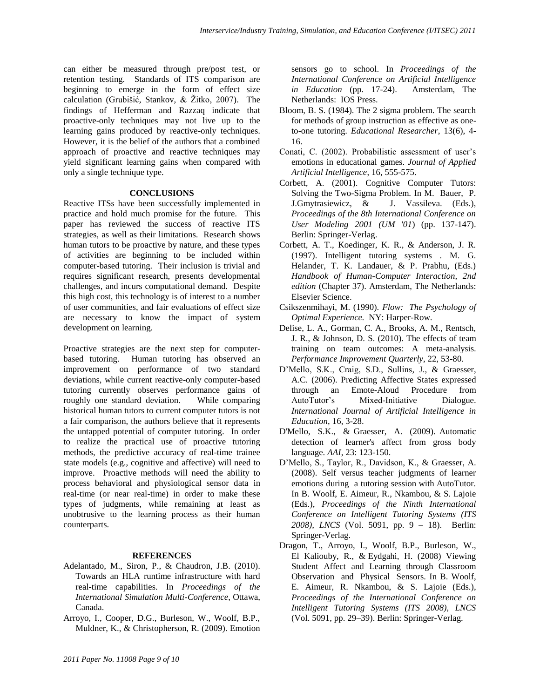can either be measured through pre/post test, or retention testing. Standards of ITS comparison are beginning to emerge in the form of effect size calculation (Grubišić, Stankov, & Žitko, 2007). The findings of Hefferman and Razzaq indicate that proactive-only techniques may not live up to the learning gains produced by reactive-only techniques. However, it is the belief of the authors that a combined approach of proactive and reactive techniques may yield significant learning gains when compared with only a single technique type.

## **CONCLUSIONS**

Reactive ITSs have been successfully implemented in practice and hold much promise for the future. This paper has reviewed the success of reactive ITS strategies, as well as their limitations. Research shows human tutors to be proactive by nature, and these types of activities are beginning to be included within computer-based tutoring. Their inclusion is trivial and requires significant research, presents developmental challenges, and incurs computational demand. Despite this high cost, this technology is of interest to a number of user communities, and fair evaluations of effect size are necessary to know the impact of system development on learning.

Proactive strategies are the next step for computerbased tutoring. Human tutoring has observed an improvement on performance of two standard deviations, while current reactive-only computer-based tutoring currently observes performance gains of roughly one standard deviation. While comparing historical human tutors to current computer tutors is not a fair comparison, the authors believe that it represents the untapped potential of computer tutoring. In order to realize the practical use of proactive tutoring methods, the predictive accuracy of real-time trainee state models (e.g., cognitive and affective) will need to improve. Proactive methods will need the ability to process behavioral and physiological sensor data in real-time (or near real-time) in order to make these types of judgments, while remaining at least as unobtrusive to the learning process as their human counterparts.

## **REFERENCES**

- Adelantado, M., Siron, P., & Chaudron, J.B. (2010). Towards an HLA runtime infrastructure with hard real-time capabilities. In *Proceedings of the International Simulation Multi-Conference*, Ottawa, Canada.
- Arroyo, I., Cooper, D.G., Burleson, W., Woolf, B.P., Muldner, K., & Christopherson, R. (2009). Emotion

sensors go to school. In *Proceedings of the International Conference on Artificial Intelligence in Education* (pp. 17-24).Amsterdam, The Netherlands:IOS Press.

- Bloom, B. S. (1984). The 2 sigma problem. The search for methods of group instruction as effective as oneto-one tutoring. *Educational Researcher*, 13(6), 4- 16.
- Conati, C. (2002). Probabilistic assessment of user's emotions in educational games. *Journal of Applied Artificial Intelligence*, 16, 555-575.
- Corbett, A. (2001). Cognitive Computer Tutors: Solving the Two-Sigma Problem. In M. Bauer, P. J.Gmytrasiewicz, & J. Vassileva. (Eds.), *Proceedings of the 8th International Conference on User Modeling 2001 (UM '01*) (pp. 137-147). Berlin: Springer-Verlag.
- Corbett, A. T., Koedinger, K. R., & Anderson, J. R. (1997). Intelligent tutoring systems . M. G. Helander, T. K. Landauer, & P. Prabhu, (Eds.) *Handbook of Human-Computer Interaction, 2nd edition* (Chapter 37). Amsterdam, The Netherlands: Elsevier Science.
- Csikszenmihayi, M. (1990). *Flow: The Psychology of Optimal Experience.* NY: Harper-Row.
- Delise, L. A., Gorman, C. A., Brooks, A. M., Rentsch, J. R., & Johnson, D. S. (2010). The effects of team training on team outcomes: A meta-analysis. *Performance Improvement Quarterly*, 22, 53-80.
- D'Mello, S.K., Craig, S.D., Sullins, J., & Graesser, A.C. (2006). Predicting Affective States expressed through an Emote-Aloud Procedure from AutoTutor's Mixed-Initiative Dialogue. *International Journal of Artificial Intelligence in Education*, 16, 3-28.
- D'Mello, S.K., & Graesser, A. (2009). Automatic detection of learner's affect from gross body language. *AAI*, 23: 123-150.
- D'Mello, S., Taylor, R., Davidson, K., & Graesser, A. (2008). Self versus teacher judgments of learner emotions during a tutoring session with AutoTutor. In B. Woolf, E. Aimeur, R., Nkambou, & S. Lajoie (Eds.), *Proceedings of the Ninth International Conference on Intelligent Tutoring Systems (ITS 2008), LNCS* (Vol. 5091, pp. 9 – 18). Berlin: Springer-Verlag.
- Dragon, T., Arroyo, I., Woolf, B.P., Burleson, W., El Kaliouby, R., & Eydgahi, H. (2008) Viewing Student Affect and Learning through Classroom Observation and Physical Sensors. In B. Woolf, E. Aimeur, R. Nkambou, & S. Lajoie (Eds.), *Proceedings of the International Conference on Intelligent Tutoring Systems (ITS 2008), LNCS* (Vol. 5091, pp. 29–39). Berlin: Springer-Verlag.